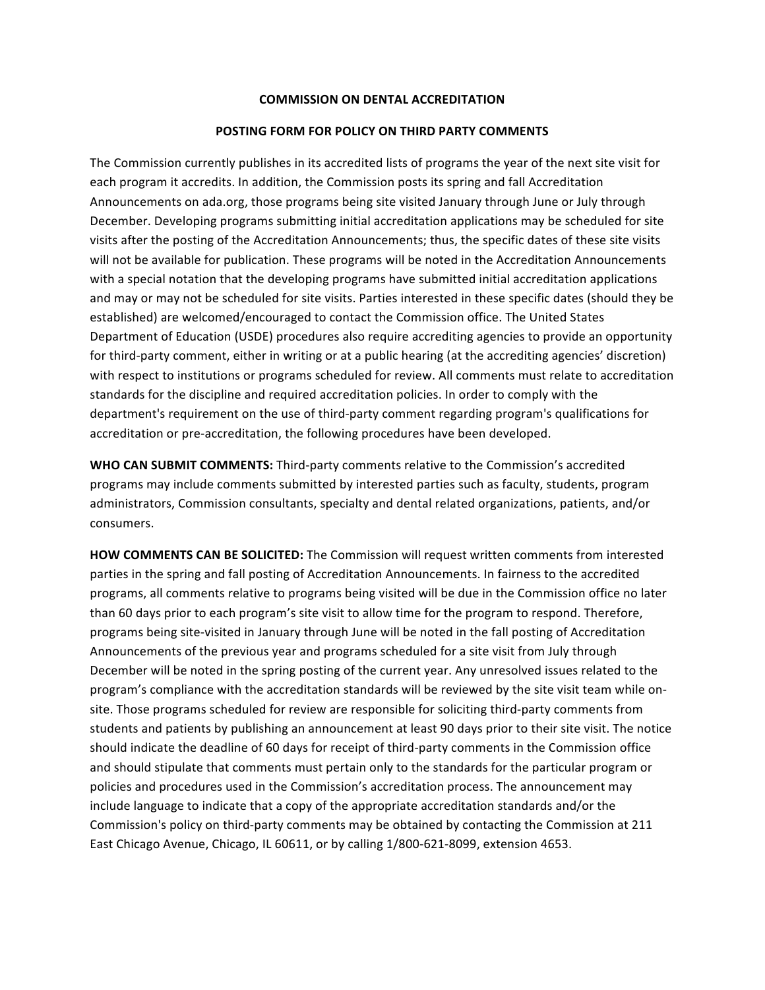## **COMMISSION ON DENTAL ACCREDITATION**

## **POSTING FORM FOR POLICY ON THIRD PARTY COMMENTS**

The Commission currently publishes in its accredited lists of programs the year of the next site visit for each program it accredits. In addition, the Commission posts its spring and fall Accreditation Announcements on ada.org, those programs being site visited January through June or July through December. Developing programs submitting initial accreditation applications may be scheduled for site visits after the posting of the Accreditation Announcements; thus, the specific dates of these site visits will not be available for publication. These programs will be noted in the Accreditation Announcements with a special notation that the developing programs have submitted initial accreditation applications and may or may not be scheduled for site visits. Parties interested in these specific dates (should they be established) are welcomed/encouraged to contact the Commission office. The United States Department of Education (USDE) procedures also require accrediting agencies to provide an opportunity for third-party comment, either in writing or at a public hearing (at the accrediting agencies' discretion) with respect to institutions or programs scheduled for review. All comments must relate to accreditation standards for the discipline and required accreditation policies. In order to comply with the department's requirement on the use of third-party comment regarding program's qualifications for accreditation or pre-accreditation, the following procedures have been developed.

**WHO CAN SUBMIT COMMENTS:** Third-party comments relative to the Commission's accredited programs may include comments submitted by interested parties such as faculty, students, program administrators, Commission consultants, specialty and dental related organizations, patients, and/or consumers.

**HOW COMMENTS CAN BE SOLICITED:** The Commission will request written comments from interested parties in the spring and fall posting of Accreditation Announcements. In fairness to the accredited programs, all comments relative to programs being visited will be due in the Commission office no later than 60 days prior to each program's site visit to allow time for the program to respond. Therefore, programs being site-visited in January through June will be noted in the fall posting of Accreditation Announcements of the previous year and programs scheduled for a site visit from July through December will be noted in the spring posting of the current year. Any unresolved issues related to the program's compliance with the accreditation standards will be reviewed by the site visit team while onsite. Those programs scheduled for review are responsible for soliciting third-party comments from students and patients by publishing an announcement at least 90 days prior to their site visit. The notice should indicate the deadline of 60 days for receipt of third-party comments in the Commission office and should stipulate that comments must pertain only to the standards for the particular program or policies and procedures used in the Commission's accreditation process. The announcement may include language to indicate that a copy of the appropriate accreditation standards and/or the Commission's policy on third-party comments may be obtained by contacting the Commission at 211 East Chicago Avenue, Chicago, IL 60611, or by calling 1/800-621-8099, extension 4653.